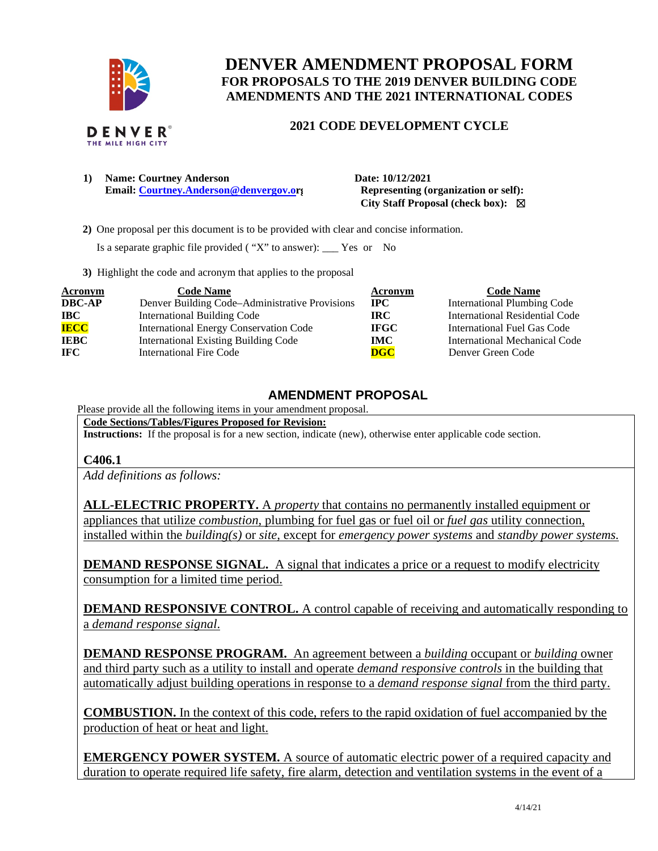

# **DENVER AMENDMENT PROPOSAL FORM FOR PROPOSALS TO THE 2019 DENVER BUILDING CODE AMENDMENTS AND THE 2021 INTERNATIONAL CODES**

# **2021 CODE DEVELOPMENT CYCLE**

**1) Name: Courtney Anderson Date: 10/12/2021 Email:** [Courtney.Anderson@denvergov.or](mailto:Courtney.Anderson@denvergov.o)**g** Representing (organization or self):

 **City Staff Proposal (check box):** ☒

 **2)** One proposal per this document is to be provided with clear and concise information.

Is a separate graphic file provided ( "X" to answer): \_\_\_ Yes or No

**3)** Highlight the code and acronym that applies to the proposal

| <b>Acronym</b> | <b>Code Name</b>                               | Acronym                   | <b>Code Name</b>                      |
|----------------|------------------------------------------------|---------------------------|---------------------------------------|
| <b>DBC-AP</b>  | Denver Building Code-Administrative Provisions | $\bf IPC$                 | <b>International Plumbing Code</b>    |
| $\bf IBC$      | International Building Code                    | IRC.                      | <b>International Residential Code</b> |
| <b>IECC</b>    | <b>International Energy Conservation Code</b>  | <b>IFGC</b>               | International Fuel Gas Code           |
| <b>IEBC</b>    | <b>International Existing Building Code</b>    | IMC -                     | International Mechanical Code         |
| <b>IFC</b>     | <b>International Fire Code</b>                 | $\overline{\textbf{DGC}}$ | Denver Green Code                     |

# **AMENDMENT PROPOSAL**

Please provide all the following items in your amendment proposal.

**Code Sections/Tables/Figures Proposed for Revision: Instructions:** If the proposal is for a new section, indicate (new), otherwise enter applicable code section.

# **C406.1**

*Add definitions as follows:* 

**ALL-ELECTRIC PROPERTY.** A *property* that contains no permanently installed equipment or appliances that utilize *combustion*, plumbing for fuel gas or fuel oil or *fuel gas* utility connection*,* installed within the *building(s)* or *site,* except for *emergency power systems* and *standby power systems.*

**DEMAND RESPONSE SIGNAL.** A signal that indicates a price or a request to modify electricity consumption for a limited time period.

**DEMAND RESPONSIVE CONTROL.** A control capable of receiving and automatically responding to a *demand response signal*.

**DEMAND RESPONSE PROGRAM.** An agreement between a *building* occupant or *building* owner and third party such as a utility to install and operate *demand responsive controls* in the building that automatically adjust building operations in response to a *demand response signal* from the third party.

**COMBUSTION.** In the context of this code, refers to the rapid oxidation of fuel accompanied by the production of heat or heat and light.

**EMERGENCY POWER SYSTEM.** A source of automatic electric power of a required capacity and duration to operate required life safety, fire alarm, detection and ventilation systems in the event of a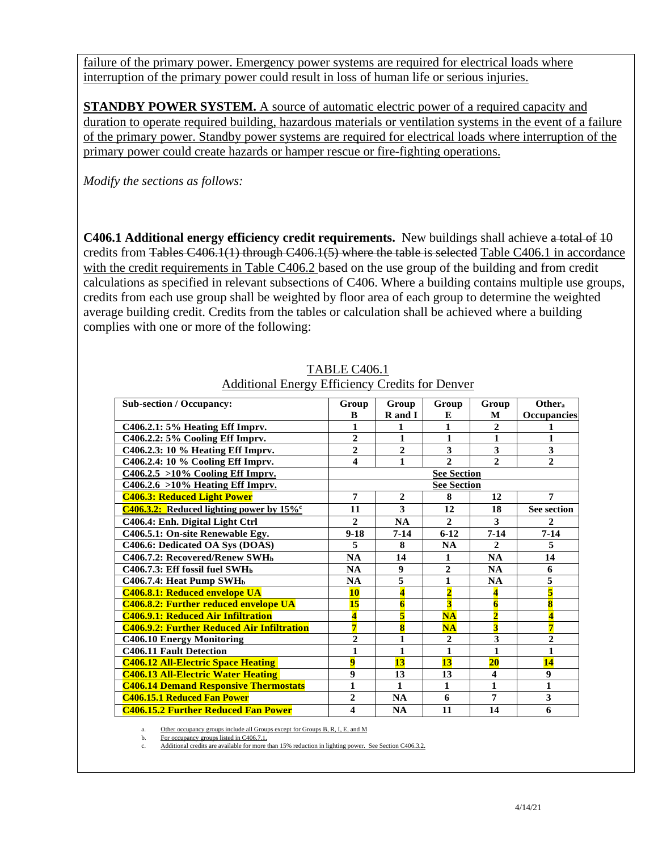failure of the primary power. Emergency power systems are required for electrical loads where interruption of the primary power could result in loss of human life or serious injuries.

**STANDBY POWER SYSTEM.** A source of automatic electric power of a required capacity and duration to operate required building, hazardous materials or ventilation systems in the event of a failure of the primary power. Standby power systems are required for electrical loads where interruption of the primary power could create hazards or hamper rescue or fire-fighting operations.

*Modify the sections as follows:* 

**C406.1 Additional energy efficiency credit requirements.** New buildings shall achieve a total of 10 credits from Tables C406.1(1) through C406.1(5) where the table is selected Table C406.1 in accordance with the credit requirements in Table C406.2 based on the use group of the building and from credit calculations as specified in relevant subsections of C406. Where a building contains multiple use groups, credits from each use group shall be weighted by floor area of each group to determine the weighted average building credit. Credits from the tables or calculation shall be achieved where a building complies with one or more of the following:

| <b>Sub-section / Occupancy:</b>                         | Group          | Group                   | Group                     | Group                   | Other <sub>a</sub>      |
|---------------------------------------------------------|----------------|-------------------------|---------------------------|-------------------------|-------------------------|
|                                                         | $\bf{B}$       | R and I                 | E                         | М                       | <b>Occupancies</b>      |
| C406.2.1: 5% Heating Eff Imprv.                         | 1              | 1                       | 1                         | $\mathbf{2}$            | 1                       |
| C406.2.2: 5% Cooling Eff Imprv.                         | $\overline{2}$ | $\mathbf{1}$            | $\mathbf{1}$              | $\mathbf{1}$            | $\mathbf{1}$            |
| C406.2.3: 10 % Heating Eff Imprv.                       | $\overline{2}$ | $\overline{2}$          | $\overline{3}$            | 3                       | 3                       |
| C406.2.4: 10 % Cooling Eff Imprv.                       | 4              | 1                       | $\overline{c}$            | $\mathbf{2}$            | $\overline{2}$          |
| $C406.2.5 > 10\%$ Cooling Eff Imprv.                    |                |                         | <b>See Section</b>        |                         |                         |
| $C406.2.6 > 10\%$ Heating Eff Imprv.                    |                |                         | <b>See Section</b>        |                         |                         |
| <b>C406.3: Reduced Light Power</b>                      | $\overline{7}$ | $\overline{2}$          | 8                         | 12                      | $\overline{7}$          |
| C406.3.2: Reduced lighting power by $15\%$ <sup>c</sup> | 11             | 3                       | 12                        | 18                      | <b>See section</b>      |
| C406.4: Enh. Digital Light Ctrl                         | $\mathbf{2}$   | <b>NA</b>               | $\overline{2}$            | 3                       | $\mathbf{2}$            |
| C406.5.1: On-site Renewable Egy.                        | $9 - 18$       | $7 - 14$                | $6 - 12$                  | $7 - 14$                | $7 - 14$                |
| C406.6: Dedicated OA Sys (DOAS)                         | 5              | 8                       | <b>NA</b>                 | $\mathbf{2}$            | 5                       |
| C406.7.2: Recovered/Renew SWH <sub>b</sub>              | <b>NA</b>      | 14                      | 1                         | <b>NA</b>               | 14                      |
| C406.7.3: Eff fossil fuel SWHb                          | <b>NA</b>      | $\boldsymbol{9}$        | $\mathbf{2}$              | <b>NA</b>               | 6                       |
| C406.7.4: Heat Pump SWH <sub>b</sub>                    | <b>NA</b>      | 5                       | $\mathbf{1}$              | <b>NA</b>               | 5                       |
| <b>C406.8.1: Reduced envelope UA</b>                    | <b>10</b>      | $\overline{\mathbf{4}}$ | $\overline{\mathbf{2}}$   | 4                       | $\overline{\mathbf{5}}$ |
| <b>C406.8.2: Further reduced envelope UA</b>            | 15             | $\overline{\mathbf{6}}$ | $\overline{\overline{3}}$ | $\overline{\mathbf{6}}$ | $\overline{\mathbf{8}}$ |
| <b>C406.9.1: Reduced Air Infiltration</b>               | 4              | $\overline{\mathbf{5}}$ | $NA$                      | $\overline{2}$          | $\overline{\mathbf{4}}$ |
| <b>C406.9.2: Further Reduced Air Infiltration</b>       | 7              | $\overline{\mathbf{8}}$ | NA                        | $\overline{\mathbf{3}}$ | $\overline{7}$          |
| <b>C406.10 Energy Monitoring</b>                        | $\overline{2}$ | $\mathbf{1}$            | $\overline{2}$            | $\overline{\mathbf{3}}$ | $\overline{2}$          |
| <b>C406.11 Fault Detection</b>                          | 1              | $\mathbf{1}$            | 1                         | $\mathbf{1}$            | 1                       |
| <b>C406.12 All-Electric Space Heating</b>               | $\overline{9}$ | 13                      | 13                        | 20                      | 14                      |
| <b>C406.13 All-Electric Water Heating</b>               | 9              | 13                      | 13                        | 4                       | $\boldsymbol{9}$        |
| <b>C406.14 Demand Responsive Thermostats</b>            | $\mathbf{1}$   | $\mathbf{1}$            | $\mathbf{1}$              | $\mathbf{1}$            | $\mathbf{1}$            |
| <b>C406.15.1 Reduced Fan Power</b>                      | $\overline{2}$ | <b>NA</b>               | 6                         | 7                       | 3                       |
| <b>C406.15.2 Further Reduced Fan Power</b>              | 4              | <b>NA</b>               | 11                        | 14                      | 6                       |

# TABLE C406.1 Additional Energy Efficiency Credits for Denver

Other occupancy groups include all Groups except for Groups B, R, I, E, and M

b. For occupancy groups listed in C406.7.1.

Additional credits are available for more than 15% reduction in lighting power. See Section C406.3.2.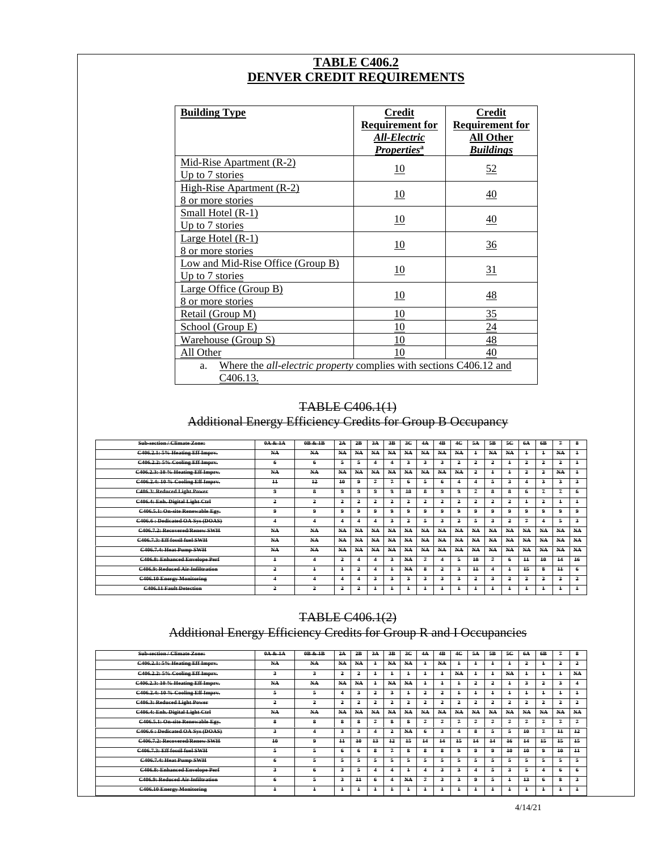# **TABLE C406.2 DENVER CREDIT REQUIREMENTS**

| <b>Building Type</b>                                                                        | Credit<br><b>Requirement for</b><br>All-Electric<br><i>Properties</i> <sup>a</sup> | <b>Credit</b><br><b>Requirement for</b><br><b>All Other</b><br><b>Buildings</b> |
|---------------------------------------------------------------------------------------------|------------------------------------------------------------------------------------|---------------------------------------------------------------------------------|
| Mid-Rise Apartment (R-2)<br>Up to 7 stories                                                 | <u>10</u>                                                                          | 52                                                                              |
| High-Rise Apartment (R-2)<br>8 or more stories                                              | 10                                                                                 | $\overline{40}$                                                                 |
| <b>Small Hotel (R-1)</b><br>Up to 7 stories                                                 | <u>10</u>                                                                          | 40                                                                              |
| Large Hotel $(R-1)$<br>8 or more stories                                                    | 10                                                                                 | $\frac{36}{5}$                                                                  |
| Low and Mid-Rise Office (Group B)<br>Up to 7 stories                                        | 10                                                                                 | $\overline{31}$                                                                 |
| Large Office (Group B)<br>8 or more stories                                                 | 10                                                                                 | $\frac{48}{5}$                                                                  |
| Retail (Group M)                                                                            | 10                                                                                 | 35                                                                              |
| School (Group E)                                                                            | 10                                                                                 | 24                                                                              |
| Warehouse (Group S)                                                                         | 10                                                                                 | 48                                                                              |
| All Other                                                                                   | 10                                                                                 | 40                                                                              |
| Where the <i>all-electric property</i> complies with sections C406.12 and<br>a.<br>C406.13. |                                                                                    |                                                                                 |

## TABLE C406.1(1)

Additional Energy Efficiency Credits for Group B Occupancy

| <b>Sub-section / Climate Zone:</b>      | 0A & 1A                 | 0B & 1B                 | 2A             | 2B             | 3A           | 3B          | 3C  | 4A           | 4B             | 4C                      | 5A             | 5B             | 5C             | <b>6A</b>      | 6B                      | 7              | 8          |
|-----------------------------------------|-------------------------|-------------------------|----------------|----------------|--------------|-------------|-----|--------------|----------------|-------------------------|----------------|----------------|----------------|----------------|-------------------------|----------------|------------|
| <b>C406.2.1: 5% Heating Eff Imprv.</b>  | NA-                     | NA                      | NA             | NA             | NA           | NA.         | NA. | NA           | NA             | NA                      | $\pm$          | NA             | NA-            | $\ddagger$     | $\ddagger$              | NA             | $\ddagger$ |
| C406.2.2: 5% Cooling Eff Imprv.         | 6                       | 6                       | 5.             | 5              |              | 4           | з   | з.           | $\overline{a}$ | $\overline{a}$          | $\overline{a}$ | 2              | $\overline{1}$ | $\overline{a}$ | $\overline{a}$          | 2              | $\ddagger$ |
| C406.2.3: 10 % Heating Eff Imprv.       | NA                      | NA                      | NA             | N <sub>4</sub> | NA           | NA.         | NA. | NA           | NA             | NA                      | $\overline{a}$ | $\ddagger$     | $\overline{1}$ | 2              | $\overline{a}$          | NA             | $\ddagger$ |
| C406.2.4: 10 % Cooling Eff Imprv.       | $\pm$                   | $+2$                    | 10             | 9              | 7            | 7           | ÷   | 5.           | 6              | $\overline{\mathbf{4}}$ | 4              | 5              | з.             |                | $\overline{\mathbf{3}}$ | 3              | з.         |
| C406.3: Reduced Light Power             | 9                       | 8                       | 9.             | 9              | 9            | 9           | 10  | 8            | 9              | 9                       | $\overline{7}$ | 8              | 8              |                | 7                       | 2              | 6          |
| C406.4: Enh. Digital Light Ctrl         | 2                       | 2                       | 2              | 2              | 2            | 2           | 2   | 2            | 2              | $\overline{a}$          | $\overline{a}$ | 2              | 2              | $\ddagger$     | $\overline{a}$          | $\overline{1}$ | $\ddagger$ |
| C406.5.1: On-site Renewable Egy.        | 9                       | 9                       | 9.             | 9              | $\mathbf{a}$ | 9           | 9   | 9            | $\mathbf{a}$   | 9                       | 9              | 9              | 9              | 9              | 9                       | 0              | 9          |
| C406.6 : Dedicated OA Sys (DOAS)        | $\overline{4}$          | 4                       | 4              | 4              |              | з           | 2   | 5.           | 3              | 2                       | 5              | $\overline{a}$ | 2              | $\overline{7}$ | 4                       | 5              | з.         |
| C406.7.2: Recovered/Renew SWH           | NA                      | NA                      | NA             | NA             | NA           | NA          | NA  | NA           | NA             | NA                      | NA.            | NA             | NA             | NA.            | NA                      | NA             | NA         |
| C406.7.3: Eff fossil fuel SWH           | NA-                     | NA                      | NA             | N <sub>4</sub> | NA.          | NA.         | NA. | NA           | NA             | NA                      | NA.            | NA             | NA-            | NA.            | NA                      | NA             | NA         |
| C406.7.4: Heat Pump SWH                 | NA                      | NA                      | N <sub>4</sub> | N <sub>4</sub> | NA           | NA          | NA  | NA           | NA             | NA                      | NA-            | NA-            | NA-            | NA-            | NA                      | NA             | NA         |
| <b>C406.8: Enhanced Envelope Perf</b>   | $\ddagger$              | $\overline{\mathbf{4}}$ | 2              | 4              |              | з           | NA. | 7            | $\overline{4}$ | 5                       | $+0$           | $\overline{4}$ | 6              | $+1$           | 40                      | 14             | 16         |
| <b>C406.9: Reduced Air Infiltration</b> | 2                       | $\mathbf{1}$            | $\mathbf +$    | 2              |              | $\ddagger$  | NA  | 8            | 2              | 3                       | $+1$           | 4              | $\ddagger$     | 15             | 8                       | $\pm$          | 6          |
| <b>C406.10 Energy Monitoring</b>        | $\overline{\mathbf{4}}$ | 4                       | 4              | 4              | 3            | 3           | 3   | з.           | 3              | 3                       | 2              | 3              | 2              | $\overline{a}$ | $\overline{a}$          | 2              | 2          |
| <b>C406.11 Fault Detection</b>          | 2                       | 2                       | 2              | 2              |              | $\mathbf +$ |     | $\mathbf{1}$ | $\pm$          | $\overline{1}$          | $\overline{1}$ | $\overline{1}$ | $\ddagger$     | $\pm$          | $\ddagger$              |                | $\ddagger$ |

# TABLE C406.1(2)

# Additional Energy Efficiency Credits for Group R and I Occupancies

| <b>Sub-section / Climate Zone:</b>      | 0A & 1A | $0R$ & $1R$    | 2A             | 2B              | 3A                   | 3R             | 3 <sup>c</sup> | 4A             | 4 <b>B</b> | 4C             | 5A             | 5R                      | 50             | 6A         | 6 <b>B</b>     | $\overline{7}$          | 8               |
|-----------------------------------------|---------|----------------|----------------|-----------------|----------------------|----------------|----------------|----------------|------------|----------------|----------------|-------------------------|----------------|------------|----------------|-------------------------|-----------------|
| <b>C406.2.1: 5% Heating Eff Imprv.</b>  | NA-     | NA             | NA             | NA              | $\ddagger$           | NA             | NA.            | $\overline{1}$ | NA         | $\overline{1}$ |                | $\bf{1}$                |                | 2          | $\overline{1}$ | 2                       | 2               |
| C406.2.2: 5% Cooling Eff Imprv.         | з.      | 3              | 2              | 2               | $\ddot{\phantom{1}}$ | $\ddagger$     |                | $\overline{1}$ |            | NA             | $\overline{1}$ | $\bf{1}$                | NA             | $\ddagger$ | $\ddagger$     | $\ddagger$              | NA.             |
| C406.2.3: 10 % Heating Eff Imprv.       | NA-     | NA             | NA-            | NA              | $\ddagger$           | NA             | NA.            | $\ddagger$     |            | $\overline{1}$ | $\overline{a}$ | $\overline{\mathbf{a}}$ |                | 3          | $\overline{a}$ | $\overline{\mathbf{3}}$ |                 |
| C406.2.4: 10 % Cooling Eff Imprv.       | 5.      |                |                | $\mathbf{a}$    | 2                    | 3              |                | 2              | 2          | $\ddagger$     |                | $\overline{1}$          | 4              | $\ddagger$ | $\overline{1}$ | $\overline{1}$          | $\ddagger$      |
| C406.3: Reduced Light Power             | 2       | $\overline{a}$ | $\overline{a}$ | 2               | 2                    | $\overline{a}$ | 2              | 2              | 2          | 2              | 2              | $\overline{\mathbf{a}}$ | $\overline{a}$ | 2          | 2              | 2                       | $\overline{a}$  |
| C406.4: Enh. Digital Light Ctrl         | NA-     | NA             | NA-            | NA              | NA-                  | NA             | NA-            | NA-            | NA         | NA             | NA-            | NA-                     | NA-            | NA         | NA.            | NA                      | NA.             |
| C406.5.1: On-site Renewable Egy.        | 8       | я              | 8              | 8               | 7                    | я              | R              | 7              | 7          | 2              |                | 7                       | 7              | 7          | 7              | $\overline{7}$          | $\overline{7}$  |
| C406.6 : Dedicated OA Sys (DOAS)        | 3       | 4              | $\overline{a}$ | $\overline{a}$  |                      | 2              | NA.            | 6              | 3          | 4              | я              | 5                       | 5              | 10         | $\mathfrak z$  | $+1$                    | $+2$            |
| C406.7.2: Recovered/Renew SWH           | 40      | 9              | $+$            | 10              | 43                   | 12             | 15             | 14             | 44         | 15             | 44             | 14                      | $+6$           | 44         | $+5$           | $+5$                    | 15              |
| C406.7.3: Eff fossil fuel SWH           | ÷       | 5              | А.             | -6              |                      | $\mathfrak z$  | R              | 8              | R          | Ω.             | 0              | 9                       | 40             | 40         | 9              | 10                      | $\overline{11}$ |
| <b>C406.7.4: Heat Pump SWH</b>          | 6.      | 5              | 5.             | 5               |                      | 5              | 5              | 5              | 5          | 5              | 5              | 5                       | 5              | 5          | 5.             | 5                       | 5               |
| <b>C406.8: Enhanced Envelope Perf</b>   | 3       |                | $\overline{a}$ | 5               |                      | 4              |                | 4              | 3          | 3              |                | 5                       | З              | 5          |                | 6                       | А.              |
| <b>C406.9: Reduced Air Infiltration</b> | 6.      | 5              | з.             | $\overline{11}$ |                      | 4              | NA.            | 7              | 2          | 3              | Ω              | 5                       |                | $+3$       |                | я                       | 3               |
| <b>C406.10 Energy Monitoring</b>        | ÷       |                |                | ÷               |                      |                |                |                |            |                |                |                         |                |            |                | $\overline{1}$          |                 |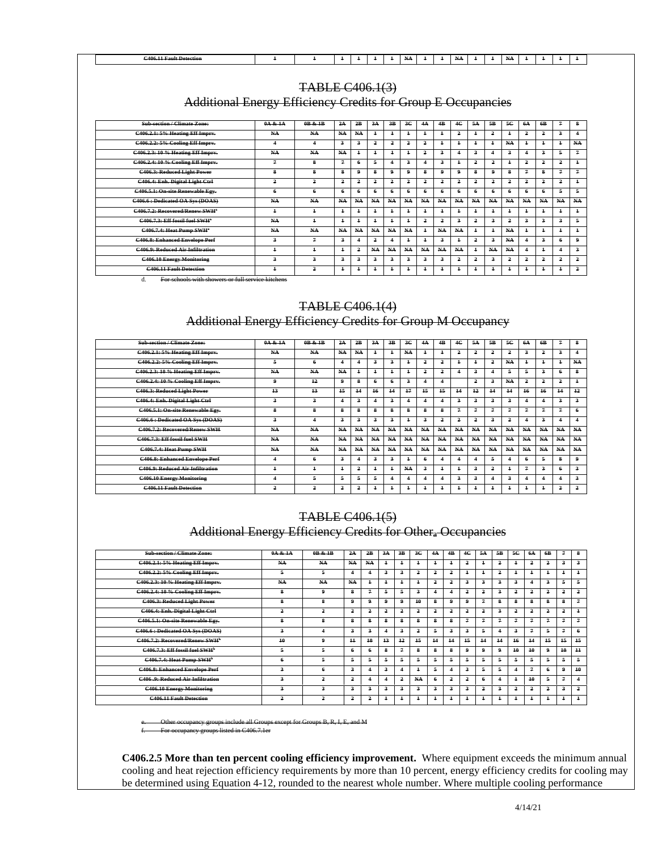| $\sim$ $\sim$ $\sim$<br>$\cdot$<br>0.106<br><b>Foult Detection</b><br><del>.</del><br>- <del>- - - - - - -</del><br>$-100.2.$<br>1111<br>$\cdots$<br>$\ddotsc$ |  |  |  |  |  |  |  |  |  |  |
|----------------------------------------------------------------------------------------------------------------------------------------------------------------|--|--|--|--|--|--|--|--|--|--|
|                                                                                                                                                                |  |  |  |  |  |  |  |  |  |  |

## TABLE C406.1(3)

Additional Energy Efficiency Credits for Group E Occupancies

| <b>Sub-section / Climate Zone:</b>         | 0A & 1A        | 0B & 1B        | 2A         | 2B                      | 3A                      | 3B                      | 3 <sup>c</sup> | 4A                   | 4B                   | 4C             | 5A                   | 5B                      | 5C                   | 6A                      | 6B             | 7                    | 8                       |
|--------------------------------------------|----------------|----------------|------------|-------------------------|-------------------------|-------------------------|----------------|----------------------|----------------------|----------------|----------------------|-------------------------|----------------------|-------------------------|----------------|----------------------|-------------------------|
| C406.2.1: 5% Heating Eff Imprv.            | NA.            | NA             | NA         | NA                      | $\ddot{+}$              | $\ddagger$              |                | $\ddagger$           | $\ddot{\phantom{1}}$ | 2              | $\ddot{\textbf{r}}$  | $\overline{a}$          | $\ddot{\phantom{1}}$ | $\overline{a}$          | 2              | з.                   | $\overline{4}$          |
| C406.2.2: 5% Cooling Eff Imprv.            | 4              | 4              | 2          | 3                       | $\overline{a}$          | 2                       | ٥              | 2                    | 4                    | $\ddot{+}$     | $\ddagger$           | $\overline{1}$          | NA.                  | $\ddagger$              | $\ddagger$     | 4                    | NA.                     |
| C406.2.3: 10 % Heating Eff Imprv.          | NA.            | NA             | NA         | $\ddagger$              | ÷                       | $\ddagger$              |                | 2                    | 3                    |                | 3                    | 4                       | 3                    |                         | $\overline{a}$ | 5                    | 7                       |
| C406.2.4: 10 % Cooling Eff Imprv.          | 7              | 8              | 7          | 6                       | 5                       | 4                       | 2              | $\ddot{\phantom{a}}$ | $\overline{a}$       | $\ddagger$     | 2                    | $\overline{a}$          | $\ddot{\phantom{1}}$ | $\overline{a}$          | 2              | 2                    | $\ddagger$              |
| C406.3: Reduced Light Power                | 8              | 8              | 8          | 9                       | 8                       | 9                       | 4              | 8                    | 9                    | 9              | 8                    | 9                       | 8                    | 7                       | 8              | 7                    | 7                       |
| C406.4: Enh. Digital Light Ctrl            | 2              | 2              | 2          | 2                       | $\overline{a}$          | 2                       | $\overline{2}$ | $\overline{a}$       | 2                    | $\overline{a}$ | 2                    | $\overline{\mathbf{a}}$ | 2                    | $\overline{a}$          | 2              | 2                    | $\ddagger$              |
| C406.5.1: On-site Renewable Egy.           | 6              | 6              |            | 4                       |                         | 4                       |                | 6                    | А.                   | 6              | 6                    | 6                       | 6                    | -6                      | 6              | 5                    | 5                       |
| C406.6 : Dedicated OA Sys (DOAS)           | NA.            | NA             | NA         | NA                      | NA-                     | NA-                     | NA-            | NA                   | NA-                  | NA             | NA                   | NA-                     | NA-                  | NA-                     | NA             | NA-                  | NA-                     |
| C406.7.2: Recovered/Renew SWH*             | $\ddagger$     | $\overline{1}$ | 4          | $\ddagger$              |                         | $\ddagger$              |                | $\overline{1}$       | $\pm$                | $\overline{1}$ | $\overline{1}$       | $\overline{\mathbf{1}}$ | $\overline{1}$       | $\overline{1}$          | $\overline{1}$ | $\ddagger$           | $\ddagger$              |
| C406.7.3: Eff fossil fuel SWH <sup>*</sup> | NA-            | $\ddagger$     | $\ddagger$ | $\ddagger$              |                         | $\ddagger$              |                | $\overline{a}$       | 2                    | $\overline{a}$ | 2                    | 3                       | 2                    | $\mathbf{a}$            | $\overline{a}$ | з.                   | 5                       |
| C406.7.4: Heat Pump SWH"                   | NA-            | NA.            | NA         | N <sub>A</sub>          | NA.                     | N <sub>A</sub>          | N <sub>A</sub> | $\ddagger$           | NA                   | NA             | $\ddot{\phantom{1}}$ | $\overline{1}$          | NA.                  | $\ddot{+}$              | $\ddagger$     | $\ddot{\phantom{1}}$ | $\ddagger$              |
| <b>C406.8: Enhanced Envelope Perf</b>      | 3              | $\overline{4}$ | 3          | $\overline{\mathbf{4}}$ | $\overline{\mathbf{2}}$ | $\overline{\mathbf{4}}$ |                | $\ddagger$           | $\overline{a}$       | $\ddagger$     | $\overline{a}$       | 3                       | NA-                  | $\overline{\mathbf{4}}$ | $\overline{a}$ | 6                    | 9                       |
| <b>C406.9: Reduced Air Infiltration</b>    | $\overline{1}$ | $\overline{1}$ |            | 2                       | NA.                     | NA                      | NA-            | NA                   | NA-                  | NA             | $\ddot{\phantom{1}}$ | NA                      | NA.                  | 4                       | $\ddagger$     |                      | $\overline{\mathbf{3}}$ |
| <b>C406.10 Energy Monitoring</b>           | 3              | 3              | 3          | 3                       | $\overline{\mathbf{a}}$ | 3                       | 2              | $\overline{a}$       | $\overline{a}$       | 2              | 2                    | 3                       | 2                    | $\overline{a}$          | $\overline{a}$ | 2                    | 2                       |
| <b>C406.11 Fault Detection</b>             | $\overline{1}$ | 2              | $\ddagger$ |                         |                         | $\ddagger$              |                | $\mathbf{1}$         | $\pm$                | $\overline{1}$ | $\ddagger$           | 4                       | $\overline{1}$       | $\overline{1}$          | $\ddagger$     | $\pm$                | 2                       |

d. For schools with showers or full service kitchens

Г

### TABLE C406.1(4)

## Additional Energy Efficiency Credits for Group M Occupancy

| Sub-section / Climate Zone:             | 0A & 1A                 | 0B & 1B      | $2\mathbf{A}$           | 2B                      | 3 <sub>A</sub>          | 3B                      | 3 <sub>C</sub>          | $4\text{Å}$    | 4 <b>B</b>              | 4 <sub>C</sub>          | 5A                      | 5B                      | 5C                      | <b>6A</b>               | 6 <b>B</b>              | $\overline{z}$          | 8                       |
|-----------------------------------------|-------------------------|--------------|-------------------------|-------------------------|-------------------------|-------------------------|-------------------------|----------------|-------------------------|-------------------------|-------------------------|-------------------------|-------------------------|-------------------------|-------------------------|-------------------------|-------------------------|
| C406.2.1: 5% Heating Eff Imprv.         | NA                      | NA           | NA                      | NA                      | $\overline{1}$          |                         | NA                      | $\overline{1}$ | $\overline{\mathbf{1}}$ | $\overline{\mathbf{2}}$ | $\overline{2}$          | $\overline{\mathbf{2}}$ | $\overline{\mathbf{2}}$ | $\mathbf{3}$            | $\overline{2}$          | 3                       | 4                       |
| C406.2.2: 5% Cooling Eff Impry.         | 5.                      | 6            | 4                       |                         | $\mathbf{3}$            | $\mathbf{a}$            | $\overline{\mathbf{1}}$ | 2              | $\overline{\mathbf{2}}$ | 4                       |                         | $\overline{\mathbf{2}}$ | NA                      | $\overline{1}$          | $\ddot{\phantom{1}}$    | $\overline{\mathbf{1}}$ | NA                      |
| C406.2.3: 10 % Heating Eff Imprv.       | NA                      | NA           | NA                      | $\overline{1}$          | $\overline{1}$          |                         | $\overline{\mathbf{1}}$ | 2              | $\overline{\mathbf{2}}$ | 4                       | $\overline{\mathbf{3}}$ | 4                       | 5.                      | 5                       | $\overline{\mathbf{a}}$ | 4                       | s                       |
| C406.2.4: 10 % Cooling Eff Imprv.       | $\mathbf{Q}$            | 12           | $\mathbf{Q}$            | 8                       | 6                       | 6.                      | $\overline{\mathbf{3}}$ | 4              | 4                       |                         | $\overline{2}$          | 3                       | NA                      | $\overline{\mathbf{2}}$ | $\overline{\mathbf{2}}$ | $\overline{2}$          | $\overline{1}$          |
| C406.3: Reduced Light Power             | 13                      | 13           | 15                      | 14                      | 46                      | 14                      | 17                      | 15             | 15                      | 44                      | 12                      | 44                      | 14                      | 16                      | 16                      | 44                      | 12                      |
| C406.4: Enh. Digital Light Ctrl         | 3                       | $\mathbf{3}$ | $\overline{\mathbf{4}}$ | $\overline{\mathbf{a}}$ | $\overline{4}$          | $\overline{\mathbf{a}}$ | 4                       | 4              | 4                       | 3                       | з                       | 3                       | з                       | $\overline{\mathbf{4}}$ | 4                       | 3                       | 3                       |
| C406.5.1: On-site Renewable Egy.        | $\mathbf{a}$            | $\mathbf{a}$ | 2                       | s.                      | $\mathbf{a}$            | s                       | 2                       | s.             | 2                       | $\mathfrak I$           | 7                       | ı                       | 2                       | $\overline{1}$          | $\mathbf{z}$            | $\overline{z}$          | 6                       |
| C406.6 : Dedicated OA Sys (DOAS)        | 3                       |              | $\overline{\mathbf{a}}$ | 3                       | $\overline{\mathbf{a}}$ | 3                       | 4                       | 3              | $\overline{2}$          | $\overline{\mathbf{2}}$ | $\mathbf{\hat{}}$       | 3                       | $\overline{2}$          | $\overline{\mathbf{4}}$ | $\overline{\mathbf{a}}$ | 4                       | 4                       |
| C406.7.2: Recovered/Renew SWH           | NA                      | NA           | NA                      | NA                      | NA                      | NA                      | NA                      | NA             | NA                      | NA                      | NA                      | NA                      | NA                      | NA                      | NA                      | NA                      | NA                      |
| C406.7.3: Eff fossil fuel SWH           | NA                      | NA           | NA                      | NA-                     | NA                      | NA                      | NA                      | NA             | NA                      | NA                      | NA                      | NA                      | NA                      | NA                      | NA                      | NA                      | NA                      |
| C406.7.4: Heat Pump SWH                 | NA                      | NA           | NA                      | NA                      | NA                      | NA                      | NA                      | NA             | NA                      | NA                      | NA                      | NA                      | NA                      | NA                      | NA                      | NA                      | NA                      |
| <b>C406.8: Enhanced Envelope Perf</b>   | 4                       | 6            | $\mathbf{3}$            | 4                       | $\mathbf{3}$            | 3                       | $\ddagger$              | 6.             |                         | 4                       |                         | 5                       |                         | 6                       | 5                       | $\mathbf{a}$            | 9.                      |
| <b>C406.9: Reduced Air Infiltration</b> | ┻                       |              | ÷                       | $\overline{\mathbf{2}}$ | $\overline{1}$          |                         | NA                      | 3              | 4                       | $\overline{1}$          | $\mathbf{a}$            | $\overline{\mathbf{2}}$ |                         | $\mathfrak I$           | $\overline{\mathbf{a}}$ | 4                       | $\overline{\mathbf{a}}$ |
| <b>C406.10 Energy Monitoring</b>        | $\overline{\mathbf{4}}$ | 5.           | 5.                      | 5.                      | 5.                      |                         | $\overline{\mathbf{4}}$ | 4              | Δ                       | $\overline{\mathbf{a}}$ | $\overline{\mathbf{3}}$ | 4                       | 3                       | $\overline{\mathbf{4}}$ | $\overline{\mathbf{4}}$ | 4                       | $\overline{\mathbf{a}}$ |
| <b>C406.11 Fault Detection</b>          | $\overline{\mathbf{2}}$ | $\mathbf{r}$ | $\overline{\mathbf{2}}$ | $\overline{a}$          |                         |                         |                         | 1              | 4                       |                         |                         | 1                       |                         | $\overline{1}$          |                         | $\overline{2}$          | $\overline{\mathbf{2}}$ |

### TABLE C406.1(5)

## Additional Energy Efficiency Credits for Othera Occupancies

| <b>Sub-section / Climate Zone:</b>         | 0A & 1A                 | 0B & 1B        | 2A                      | 2B         | 3A         | 3B                      | 3C                      | 4A    | 4B                      | 4C             | 5A                      | 5B                      | 5C                      | 6A             | 6B                      | $\overline{7}$          | 8                       |
|--------------------------------------------|-------------------------|----------------|-------------------------|------------|------------|-------------------------|-------------------------|-------|-------------------------|----------------|-------------------------|-------------------------|-------------------------|----------------|-------------------------|-------------------------|-------------------------|
| <b>C406.2.1: 5% Heating Eff Imprv.</b>     | NA                      | NA             | NA                      | NA.        | $\ddagger$ |                         | $\ddagger$              | $\pm$ | $\ddagger$              | 2              | $\overline{1}$          | $\overline{a}$          | $\ddagger$              | $\overline{a}$ | 2                       | $\overline{\mathbf{3}}$ | $\overline{\mathbf{3}}$ |
| C406.2.2: 5% Cooling Eff Imprv.            | 5                       | 5.             | 4                       |            | 3          | 3                       | 2                       | 2     | 2                       |                | $\ddagger$              | $\overline{a}$          | $\pm$                   | $\overline{1}$ | $\ddot{\phantom{1}}$    | $\ddagger$              | $\ddagger$              |
| C406.2.3: 10 % Heating Eff Imprv.          | NA                      | NA             | NA                      | $\ddagger$ | $\ddagger$ |                         | $\ddagger$              | 2     | 2                       | 3              | $\overline{\mathbf{3}}$ | 3                       | 3                       |                | 3                       | 5                       | 5                       |
| C406.2.4: 10 % Cooling Eff Imprv.          | 8                       | 9              | 8                       | 7          | 5          |                         | 3                       |       | $\overline{\mathbf{4}}$ | 2              | $\overline{a}$          | $\overline{a}$          | 2                       | $\overline{a}$ | 2                       | $\overline{a}$          | $\overline{2}$          |
| C406.3: Reduced Light Power                | 8                       | 8              | 9                       | 9          | 9          | 9                       | 10                      | 8     | $\mathbf{Q}$            | 9              | $\overline{4}$          | 8                       | 8                       | 8              | 8                       | 8                       | $\overline{7}$          |
| C406.4: Enh. Digital Light Ctrl            | 2                       | 2              | $\overline{a}$          | 2          | 2          | $\overline{2}$          | 2                       | 2     | 2                       | 2              | $\overline{a}$          | $\overline{\mathbf{a}}$ | $\overline{a}$          | $\overline{a}$ | $\overline{\mathbf{a}}$ | $\overline{a}$          | $\ddagger$              |
| C406.5.1: On-site Renewable Egy.           | 8                       | 8              | 8                       | 8          | 8          | 8                       | 8                       | 8     | 8                       | 7              | $\overline{4}$          | 2                       | $\mathbf{z}$            | 7              | 7                       | $\overline{7}$          | $\mathbf{z}$            |
| C406.6 : Dedicated OA Sys (DOAS)           | $\overline{\mathbf{3}}$ | 4              | $\overline{\mathbf{3}}$ | з.         |            | 3                       | 2                       |       | з.                      | $\overline{a}$ | 5                       |                         | 3                       | 7              | 5                       | $\overline{7}$          | 6                       |
| C406.7.2: Recovered/Renew SWH <sup>*</sup> | 40                      | 9              | $+$                     | 10         | $+3$       | $+2$                    | 15                      | 14    | 14                      | $+5$           | 14                      | 14                      | 16                      | 14             | $+5$                    | 15                      | 15                      |
| C406.7.3: Eff fossil fuel SWH <sup>b</sup> | 5                       | 5.             | 6                       |            | 8          | 7                       | 8                       | 8     | 8                       | 9              | 9                       | 0                       | 10                      | 10             | 9                       | 10                      | $\pm$                   |
| C406.7.4: Heat Pump SWH <sup>b</sup>       | 6                       |                | 5                       | 5.         | 5          |                         | 5.                      |       | 5.                      | 5.             | 5                       | 5.                      | 5                       | 5              | 5                       | 5                       | 5.                      |
| <b>C406.8: Enhanced Envelope Perf</b>      | 3                       | 6              | 3                       |            | 3          |                         | $\ddagger$              | 5.    | 4                       | 3              | 5                       |                         | $\overline{\mathbf{4}}$ | 7              | 6                       | 9                       | 10                      |
| <b>C406 .9: Reduced Air Infiltration</b>   | 3                       | 2              | 2                       |            | 4          | $\overline{\mathbf{2}}$ | NA                      | ₳     | $\overline{2}$          | 2              | 6                       |                         | $\ddagger$              | 10             | 5                       | $\overline{7}$          | 4                       |
| <b>C406.10 Energy Monitoring</b>           | 3                       | 3              | $\overline{a}$          | 3          | 3          | 3                       | $\overline{\mathbf{3}}$ | 3     | з.                      | 3              | 2                       | 3                       | $\overline{a}$          | $\overline{a}$ | 2                       | $\overline{\mathbf{3}}$ | $\overline{2}$          |
| <b>C406.11 Fault Detection</b>             | 2                       | $\overline{a}$ | 2                       | 2          | $\ddagger$ |                         | $\ddagger$              | ÷.    | $\ddagger$              |                | $\overline{1}$          |                         | $\ddagger$              | $\overline{1}$ | $\overline{1}$          | $\overline{1}$          | $\ddagger$              |

e. Other occupancy groups include all Groups except for Groups B, R, I, E, and M

d. in  $C406.7$ . Ler

**C406.2.5 More than ten percent cooling efficiency improvement.** Where equipment exceeds the minimum annual cooling and heat rejection efficiency requirements by more than 10 percent, energy efficiency credits for cooling may be determined using Equation 4-12, rounded to the nearest whole number. Where multiple cooling performance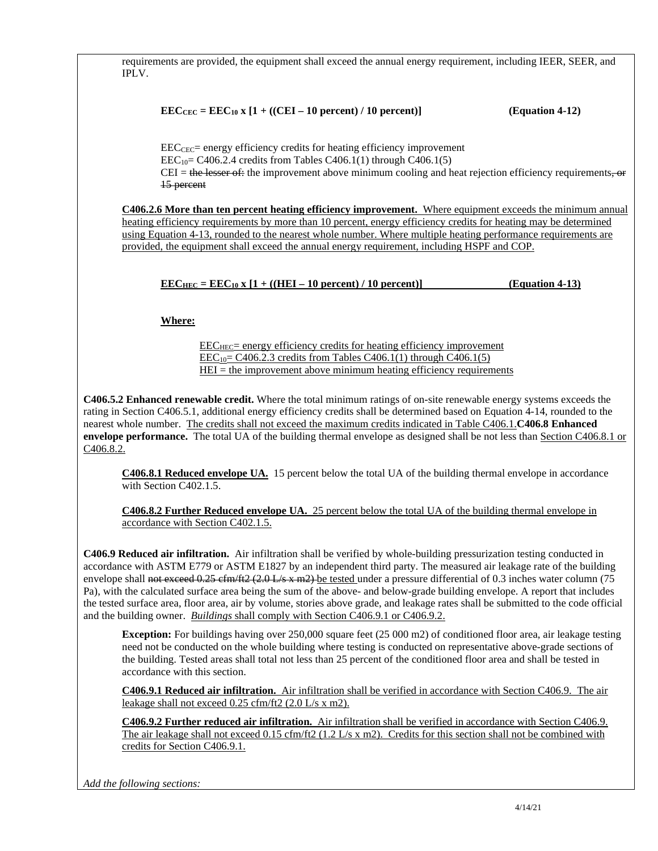requirements are provided, the equipment shall exceed the annual energy requirement, including IEER, SEER, and IPLV.

$$
EEC_{CEC} = EEC_{10} \times [1 + ((CEI - 10 percent) / 10 percent)]
$$

### **(Equation 4-12)**

 $\text{EEC}_{\text{CEC}}$  energy efficiency credits for heating efficiency improvement  $\text{EEC}_{10}$  = C406.2.4 credits from Tables C406.1(1) through C406.1(5)  $CEI =$  the lesser of: the improvement above minimum cooling and heat rejection efficiency requirements, or 15 percent

**C406.2.6 More than ten percent heating efficiency improvement.** Where equipment exceeds the minimum annual heating efficiency requirements by more than 10 percent, energy efficiency credits for heating may be determined using Equation 4-13, rounded to the nearest whole number. Where multiple heating performance requirements are provided, the equipment shall exceed the annual energy requirement, including HSPF and COP.

```
\text{EEC}_{\text{HEC}} = \text{EEC}_{10} \times [1 + ((\text{HEI} - 10 \text{ percent}) / 10 \text{ percent})] (Equation 4-13)
```
## **Where:**

 $\text{EEC}_{\text{HEC}}$  energy efficiency credits for heating efficiency improvement  $\text{EEC}_{10}$  = C406.2.3 credits from Tables C406.1(1) through C406.1(5)  $HEI =$  the improvement above minimum heating efficiency requirements

**C406.5.2 Enhanced renewable credit.** Where the total minimum ratings of on-site renewable energy systems exceeds the rating in Section C406.5.1, additional energy efficiency credits shall be determined based on Equation 4-14, rounded to the nearest whole number. The credits shall not exceed the maximum credits indicated in Table C406.1.**C406.8 Enhanced envelope performance.** The total UA of the building thermal envelope as designed shall be not less than Section C406.8.1 or C406.8.2.

**C406.8.1 Reduced envelope UA.** 15 percent below the total UA of the building thermal envelope in accordance with Section C402.1.5.

**C406.8.2 Further Reduced envelope UA.** 25 percent below the total UA of the building thermal envelope in accordance with Section C402.1.5.

**C406.9 Reduced air infiltration.** Air infiltration shall be verified by whole-building pressurization testing conducted in accordance with ASTM E779 or ASTM E1827 by an independent third party. The measured air leakage rate of the building envelope shall not exceed  $0.25 \text{ efm/ft2}$  (2.0 L/s x m2) be tested under a pressure differential of 0.3 inches water column (75 Pa), with the calculated surface area being the sum of the above- and below-grade building envelope. A report that includes the tested surface area, floor area, air by volume, stories above grade, and leakage rates shall be submitted to the code official and the building owner. *Buildings* shall comply with Section C406.9.1 or C406.9.2.

**Exception:** For buildings having over 250,000 square feet (25 000 m2) of conditioned floor area, air leakage testing need not be conducted on the whole building where testing is conducted on representative above-grade sections of the building. Tested areas shall total not less than 25 percent of the conditioned floor area and shall be tested in accordance with this section.

**C406.9.1 Reduced air infiltration.** Air infiltration shall be verified in accordance with Section C406.9. The air leakage shall not exceed 0.25 cfm/ft2 (2.0 L/s x m2).

**C406.9.2 Further reduced air infiltration.** Air infiltration shall be verified in accordance with Section C406.9. The air leakage shall not exceed 0.15 cfm/ft2 (1.2 L/s x m2). Credits for this section shall not be combined with credits for Section C406.9.1.

*Add the following sections:*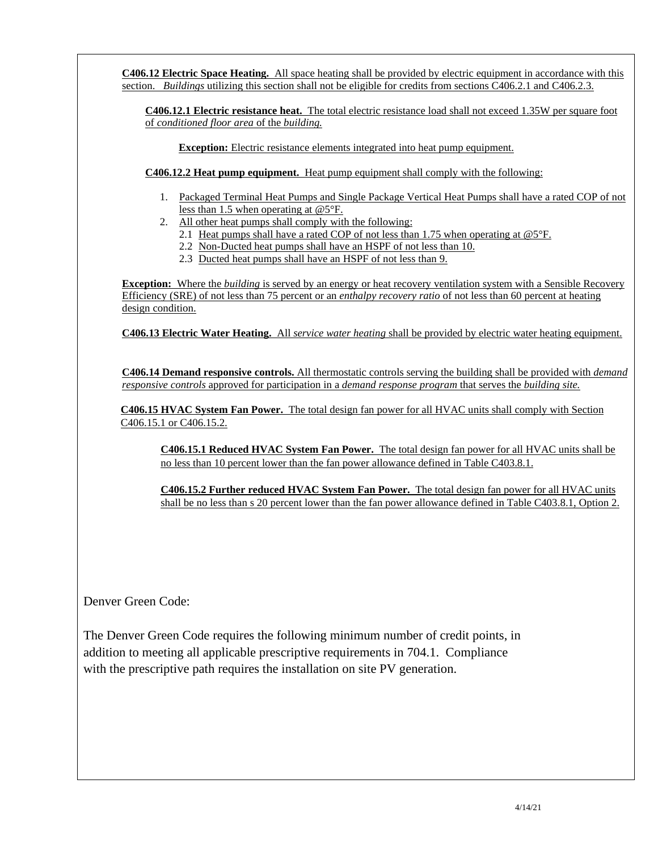**C406.12 Electric Space Heating.** All space heating shall be provided by electric equipment in accordance with this section. *Buildings* utilizing this section shall not be eligible for credits from sections C406.2.1 and C406.2.3. **C406.12.1 Electric resistance heat.** The total electric resistance load shall not exceed 1.35W per square foot of *conditioned floor area* of the *building.*  **Exception:** Electric resistance elements integrated into heat pump equipment. **C406.12.2 Heat pump equipment.** Heat pump equipment shall comply with the following: 1. Packaged Terminal Heat Pumps and Single Package Vertical Heat Pumps shall have a rated COP of not less than 1.5 when operating at @5°F. 2. All other heat pumps shall comply with the following: 2.1 Heat pumps shall have a rated COP of not less than 1.75 when operating at @5°F. 2.2 Non-Ducted heat pumps shall have an HSPF of not less than 10. 2.3 Ducted heat pumps shall have an HSPF of not less than 9. **Exception:** Where the *building* is served by an energy or heat recovery ventilation system with a Sensible Recovery Efficiency (SRE) of not less than 75 percent or an *enthalpy recovery ratio* of not less than 60 percent at heating design condition. **C406.13 Electric Water Heating.** All *service water heating* shall be provided by electric water heating equipment. **C406.14 Demand responsive controls.** All thermostatic controls serving the building shall be provided with *demand responsive controls* approved for participation in a *demand response program* that serves the *building site.* **C406.15 HVAC System Fan Power.** The total design fan power for all HVAC units shall comply with Section C406.15.1 or C406.15.2. **C406.15.1 Reduced HVAC System Fan Power.** The total design fan power for all HVAC units shall be no less than 10 percent lower than the fan power allowance defined in Table C403.8.1. **C406.15.2 Further reduced HVAC System Fan Power.** The total design fan power for all HVAC units shall be no less than s 20 percent lower than the fan power allowance defined in Table C403.8.1, Option 2.

Denver Green Code:

The Denver Green Code requires the following minimum number of credit points, in addition to meeting all applicable prescriptive requirements in 704.1. Compliance with the prescriptive path requires the installation on site PV generation.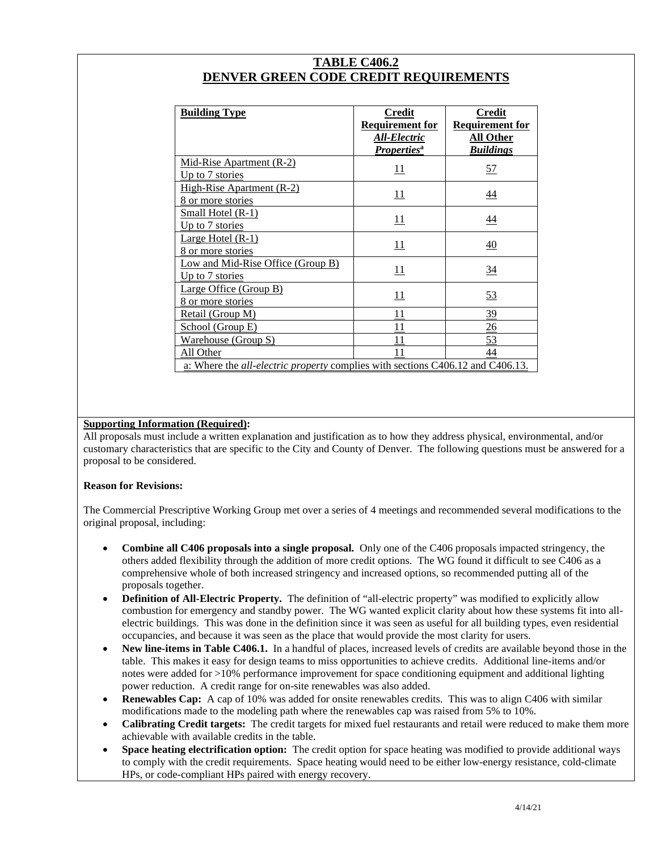| <b>TABLE C406.2</b>                   |
|---------------------------------------|
| DENVER GREEN CODE CREDIT REQUIREMENTS |

| <b>Building Type</b>                                                                  | Credit<br><b>Requirement for</b><br>All-Electric<br><b>Properties</b> <sup>a</sup> | Credit<br><b>Requirement for</b><br><b>All Other</b><br><b>Buildings</b> |
|---------------------------------------------------------------------------------------|------------------------------------------------------------------------------------|--------------------------------------------------------------------------|
| Mid-Rise Apartment (R-2)<br>Up to 7 stories                                           | <u> 11</u>                                                                         | <u>57</u>                                                                |
| <b>High-Rise Apartment (R-2)</b><br>8 or more stories                                 | 11                                                                                 | $\overline{44}$                                                          |
| <b>Small Hotel (R-1)</b><br>Up to 7 stories                                           | 11                                                                                 | $\overline{44}$                                                          |
| Large Hotel (R-1)<br>8 or more stories                                                | 11                                                                                 | $\overline{40}$                                                          |
| Low and Mid-Rise Office (Group B)<br>Up to 7 stories                                  | 11                                                                                 | $\frac{34}{5}$                                                           |
| <b>Large Office (Group B)</b><br>8 or more stories                                    | 11                                                                                 | 53                                                                       |
| Retail (Group M)                                                                      | 11                                                                                 | 39                                                                       |
| School (Group E)                                                                      | 11                                                                                 | $\frac{26}{5}$                                                           |
| Warehouse (Group S)                                                                   | 11                                                                                 | 53                                                                       |
| All Other                                                                             | 11                                                                                 | 44                                                                       |
| a: Where the <i>all-electric property</i> complies with sections C406.12 and C406.13. |                                                                                    |                                                                          |

### **Supporting Information (Required):**

All proposals must include a written explanation and justification as to how they address physical, environmental, and/or customary characteristics that are specific to the City and County of Denver. The following questions must be answered for a proposal to be considered.

### **Reason for Revisions:**

The Commercial Prescriptive Working Group met over a series of 4 meetings and recommended several modifications to the original proposal, including:

- **Combine all C406 proposals into a single proposal.** Only one of the C406 proposals impacted stringency, the others added flexibility through the addition of more credit options. The WG found it difficult to see C406 as a comprehensive whole of both increased stringency and increased options, so recommended putting all of the proposals together.
- **Definition of All-Electric Property.** The definition of "all-electric property" was modified to explicitly allow combustion for emergency and standby power. The WG wanted explicit clarity about how these systems fit into allelectric buildings. This was done in the definition since it was seen as useful for all building types, even residential occupancies, and because it was seen as the place that would provide the most clarity for users.
- **New line-items in Table C406.1.** In a handful of places, increased levels of credits are available beyond those in the table. This makes it easy for design teams to miss opportunities to achieve credits. Additional line-items and/or notes were added for >10% performance improvement for space conditioning equipment and additional lighting power reduction. A credit range for on-site renewables was also added.
- **Renewables Cap:** A cap of 10% was added for onsite renewables credits. This was to align C406 with similar modifications made to the modeling path where the renewables cap was raised from 5% to 10%.
- **Calibrating Credit targets:** The credit targets for mixed fuel restaurants and retail were reduced to make them more achievable with available credits in the table.
- **Space heating electrification option:** The credit option for space heating was modified to provide additional ways to comply with the credit requirements. Space heating would need to be either low-energy resistance, cold-climate HPs, or code-compliant HPs paired with energy recovery.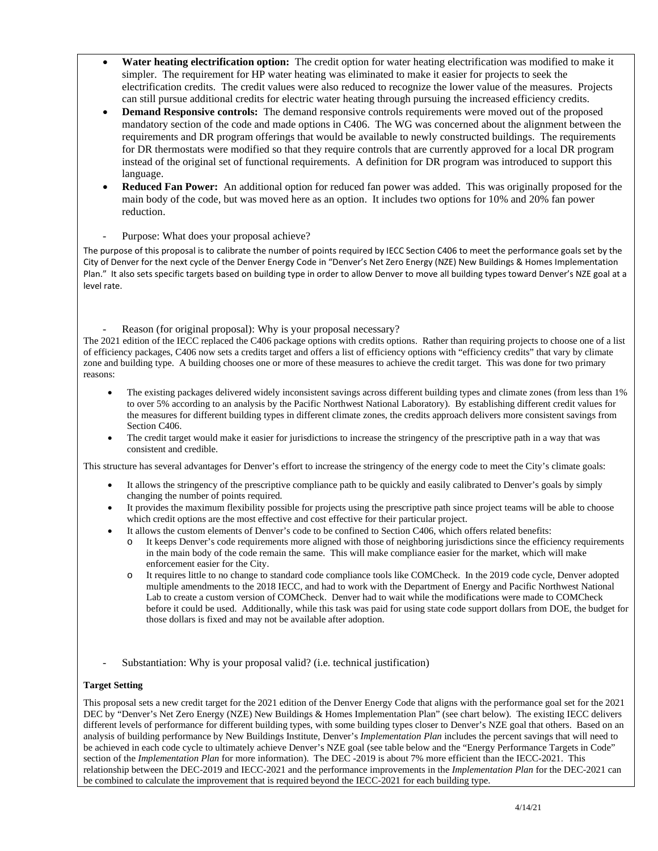- **Water heating electrification option:** The credit option for water heating electrification was modified to make it simpler. The requirement for HP water heating was eliminated to make it easier for projects to seek the electrification credits. The credit values were also reduced to recognize the lower value of the measures. Projects can still pursue additional credits for electric water heating through pursuing the increased efficiency credits.
- **Demand Responsive controls:** The demand responsive controls requirements were moved out of the proposed mandatory section of the code and made options in C406. The WG was concerned about the alignment between the requirements and DR program offerings that would be available to newly constructed buildings. The requirements for DR thermostats were modified so that they require controls that are currently approved for a local DR program instead of the original set of functional requirements. A definition for DR program was introduced to support this language.
- **Reduced Fan Power:** An additional option for reduced fan power was added. This was originally proposed for the main body of the code, but was moved here as an option. It includes two options for 10% and 20% fan power reduction.
- Purpose: What does your proposal achieve?

The purpose of this proposal is to calibrate the number of points required by IECC Section C406 to meet the performance goals set by the City of Denver for the next cycle of the Denver Energy Code in "Denver's Net Zero Energy (NZE) New Buildings & Homes Implementation Plan." It also sets specific targets based on building type in order to allow Denver to move all building types toward Denver's NZE goal at a level rate.

Reason (for original proposal): Why is your proposal necessary?

The 2021 edition of the IECC replaced the C406 package options with credits options. Rather than requiring projects to choose one of a list of efficiency packages, C406 now sets a credits target and offers a list of efficiency options with "efficiency credits" that vary by climate zone and building type. A building chooses one or more of these measures to achieve the credit target. This was done for two primary reasons:

- The existing packages delivered widely inconsistent savings across different building types and climate zones (from less than 1% to over 5% according to an analysis by the Pacific Northwest National Laboratory). By establishing different credit values for the measures for different building types in different climate zones, the credits approach delivers more consistent savings from Section C406.
- The credit target would make it easier for jurisdictions to increase the stringency of the prescriptive path in a way that was consistent and credible.

This structure has several advantages for Denver's effort to increase the stringency of the energy code to meet the City's climate goals:

- It allows the stringency of the prescriptive compliance path to be quickly and easily calibrated to Denver's goals by simply changing the number of points required.
- It provides the maximum flexibility possible for projects using the prescriptive path since project teams will be able to choose which credit options are the most effective and cost effective for their particular project.
- It allows the custom elements of Denver's code to be confined to Section C406, which offers related benefits:
	- It keeps Denver's code requirements more aligned with those of neighboring jurisdictions since the efficiency requirements in the main body of the code remain the same. This will make compliance easier for the market, which will make enforcement easier for the City.
	- o It requires little to no change to standard code compliance tools like COMCheck. In the 2019 code cycle, Denver adopted multiple amendments to the 2018 IECC, and had to work with the Department of Energy and Pacific Northwest National Lab to create a custom version of COMCheck. Denver had to wait while the modifications were made to COMCheck before it could be used. Additionally, while this task was paid for using state code support dollars from DOE, the budget for those dollars is fixed and may not be available after adoption.
- Substantiation: Why is your proposal valid? (i.e. technical justification)

### **Target Setting**

This proposal sets a new credit target for the 2021 edition of the Denver Energy Code that aligns with the performance goal set for the 2021 DEC by "Denver's Net Zero Energy (NZE) New Buildings & Homes Implementation Plan" (see chart below). The existing IECC delivers different levels of performance for different building types, with some building types closer to Denver's NZE goal that others. Based on an analysis of building performance by New Buildings Institute, Denver's *Implementation Plan* includes the percent savings that will need to be achieved in each code cycle to ultimately achieve Denver's NZE goal (see table below and the "Energy Performance Targets in Code" section of the *Implementation Plan* for more information). The DEC -2019 is about 7% more efficient than the IECC-2021. This relationship between the DEC-2019 and IECC-2021 and the performance improvements in the *Implementation Plan* for the DEC-2021 can be combined to calculate the improvement that is required beyond the IECC-2021 for each building type.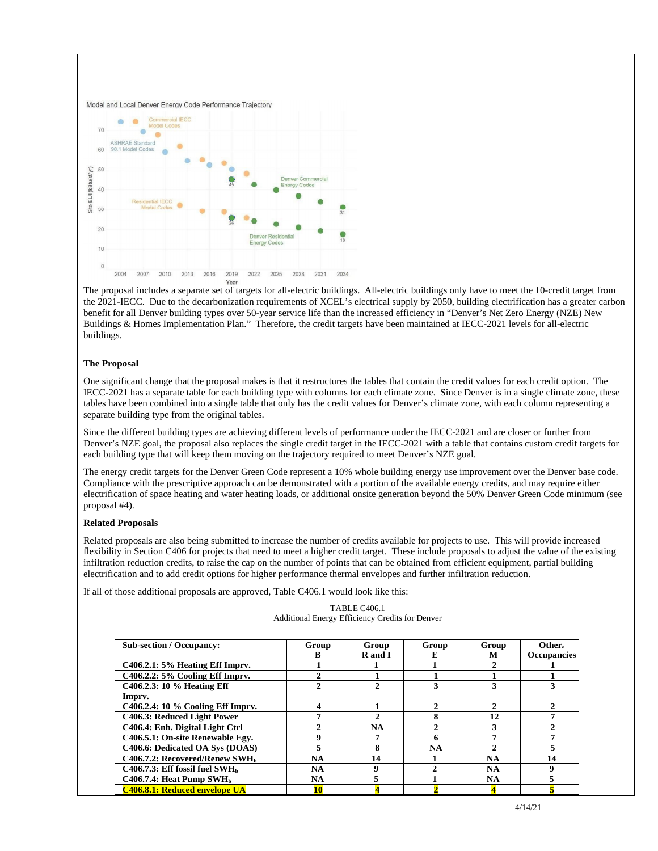

The proposal includes a separate set of targets for all-electric buildings. All-electric buildings only have to meet the 10-credit target from the 2021-IECC. Due to the decarbonization requirements of XCEL's electrical supply by 2050, building electrification has a greater carbon benefit for all Denver building types over 50-year service life than the increased efficiency in "Denver's Net Zero Energy (NZE) New Buildings & Homes Implementation Plan." Therefore, the credit targets have been maintained at IECC-2021 levels for all-electric buildings.

#### **The Proposal**

One significant change that the proposal makes is that it restructures the tables that contain the credit values for each credit option. The IECC-2021 has a separate table for each building type with columns for each climate zone. Since Denver is in a single climate zone, these tables have been combined into a single table that only has the credit values for Denver's climate zone, with each column representing a separate building type from the original tables.

Since the different building types are achieving different levels of performance under the IECC-2021 and are closer or further from Denver's NZE goal, the proposal also replaces the single credit target in the IECC-2021 with a table that contains custom credit targets for each building type that will keep them moving on the trajectory required to meet Denver's NZE goal.

The energy credit targets for the Denver Green Code represent a 10% whole building energy use improvement over the Denver base code. Compliance with the prescriptive approach can be demonstrated with a portion of the available energy credits, and may require either electrification of space heating and water heating loads, or additional onsite generation beyond the 50% Denver Green Code minimum (see proposal #4).

#### **Related Proposals**

Related proposals are also being submitted to increase the number of credits available for projects to use. This will provide increased flexibility in Section C406 for projects that need to meet a higher credit target. These include proposals to adjust the value of the existing infiltration reduction credits, to raise the cap on the number of points that can be obtained from efficient equipment, partial building electrification and to add credit options for higher performance thermal envelopes and further infiltration reduction.

If all of those additional proposals are approved, Table C406.1 would look like this:

#### TABLE C406.1 Additional Energy Efficiency Credits for Denver

| <b>Sub-section / Occupancy:</b>               | Group     | Group     | Group                       | Group         | Other.                 |
|-----------------------------------------------|-----------|-----------|-----------------------------|---------------|------------------------|
|                                               |           | R and I   | E.                          | М             | <b>Occupancies</b>     |
| C406.2.1: 5% Heating Eff Imprv.               |           |           |                             |               |                        |
| C406.2.2: 5% Cooling Eff Imprv.               |           |           |                             |               |                        |
| C406.2.3: 10 % Heating Eff                    |           | 2         |                             |               |                        |
| Imprv.                                        |           |           |                             |               |                        |
| C406.2.4: 10 % Cooling Eff Imprv.             |           |           | $\mathcal{D}_{\mathcal{L}}$ | $\mathcal{L}$ | $\mathcal{D}_{\alpha}$ |
| C406.3: Reduced Light Power                   |           |           | 8                           | 12            |                        |
| C406.4: Enh. Digital Light Ctrl               |           | <b>NA</b> |                             |               |                        |
| C406.5.1: On-site Renewable Egy.              |           |           | 6                           |               |                        |
| C406.6: Dedicated OA Sys (DOAS)               |           |           | <b>NA</b>                   |               |                        |
| C406.7.2: Recovered/Renew SWH <sub>b</sub>    | NA        | 14        |                             | <b>NA</b>     | 14                     |
| $C406.7.3$ : Eff fossil fuel SWH <sub>b</sub> | <b>NA</b> | 9         |                             | <b>NA</b>     | Q                      |
| $C406.7.4$ : Heat Pump SWH <sub>b</sub>       | <b>NA</b> | 5         |                             | NA.           |                        |
| <b>C406.8.1: Reduced envelope UA</b>          | 10        |           |                             |               |                        |